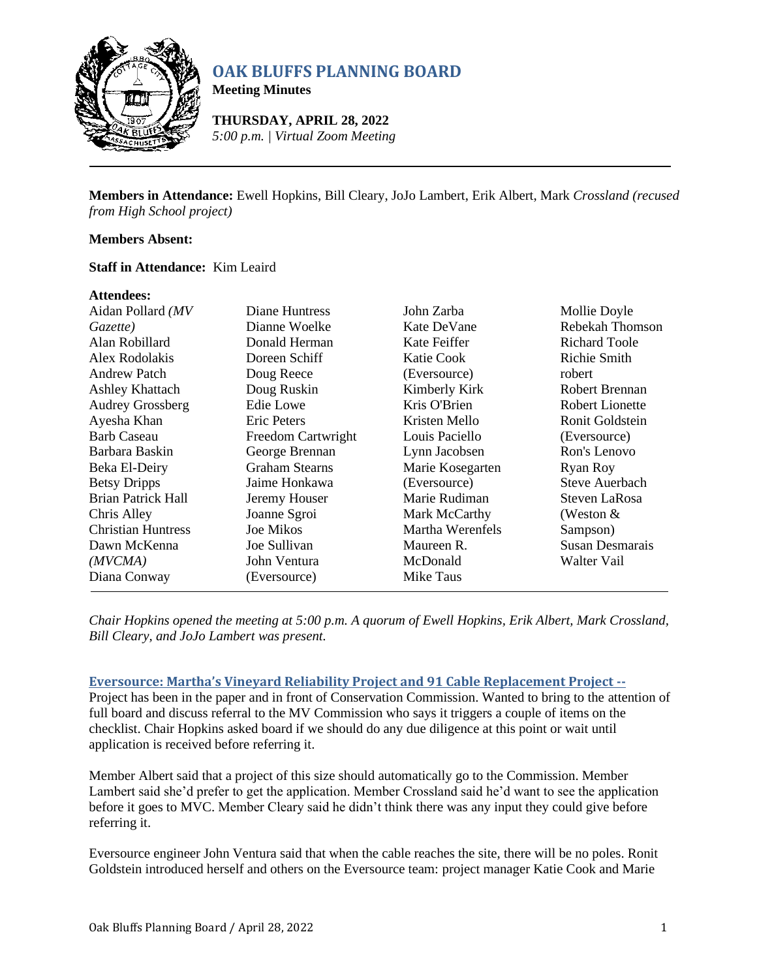

# **OAK BLUFFS PLANNING BOARD**

**Meeting Minutes**

**THURSDAY, APRIL 28, 2022** *5:00 p.m. | Virtual Zoom Meeting*

**Members in Attendance:** Ewell Hopkins, Bill Cleary, JoJo Lambert, Erik Albert, Mark *Crossland (recused from High School project)*

#### **Members Absent:**

#### **Staff in Attendance:** Kim Leaird

#### **Attendees:**

| Aidan Pollard (MV         | Diane Huntress        | John Zarba       | Mollie Doyle         |
|---------------------------|-----------------------|------------------|----------------------|
| Gazette)                  | Dianne Woelke         | Kate DeVane      | Rebekah Thomson      |
| Alan Robillard            | Donald Herman         | Kate Feiffer     | <b>Richard Toole</b> |
| Alex Rodolakis            | Doreen Schiff         | Katie Cook       | <b>Richie Smith</b>  |
| <b>Andrew Patch</b>       | Doug Reece            | (Eversource)     | robert               |
| <b>Ashley Khattach</b>    | Doug Ruskin           | Kimberly Kirk    | Robert Brennan       |
| <b>Audrey Grossberg</b>   | Edie Lowe             | Kris O'Brien     | Robert Lionette      |
| Ayesha Khan               | Eric Peters           | Kristen Mello    | Ronit Goldstein      |
| <b>Barb Caseau</b>        | Freedom Cartwright    | Louis Paciello   | (Eversource)         |
| Barbara Baskin            | George Brennan        | Lynn Jacobsen    | Ron's Lenovo         |
| Beka El-Deiry             | <b>Graham Stearns</b> | Marie Kosegarten | Ryan Roy             |
| <b>Betsy Dripps</b>       | Jaime Honkawa         | (Eversource)     | Steve Auerbach       |
| Brian Patrick Hall        | Jeremy Houser         | Marie Rudiman    | Steven LaRosa        |
| Chris Alley               | Joanne Sgroi          | Mark McCarthy    | (Weston $&$          |
| <b>Christian Huntress</b> | <b>Joe Mikos</b>      | Martha Werenfels | Sampson)             |
| Dawn McKenna              | Joe Sullivan          | Maureen R.       | Susan Desmarais      |
| (MVCMA)                   | John Ventura          | McDonald         | Walter Vail          |
| Diana Conway              | (Eversource)          | Mike Taus        |                      |
|                           |                       |                  |                      |

*Chair Hopkins opened the meeting at 5:00 p.m. A quorum of Ewell Hopkins, Erik Albert, Mark Crossland, Bill Cleary, and JoJo Lambert was present.*

#### **Eversource: Martha's Vineyard Reliability Project and 91 Cable Replacement Project --**

Project has been in the paper and in front of Conservation Commission. Wanted to bring to the attention of full board and discuss referral to the MV Commission who says it triggers a couple of items on the checklist. Chair Hopkins asked board if we should do any due diligence at this point or wait until application is received before referring it.

Member Albert said that a project of this size should automatically go to the Commission. Member Lambert said she'd prefer to get the application. Member Crossland said he'd want to see the application before it goes to MVC. Member Cleary said he didn't think there was any input they could give before referring it.

Eversource engineer John Ventura said that when the cable reaches the site, there will be no poles. Ronit Goldstein introduced herself and others on the Eversource team: project manager Katie Cook and Marie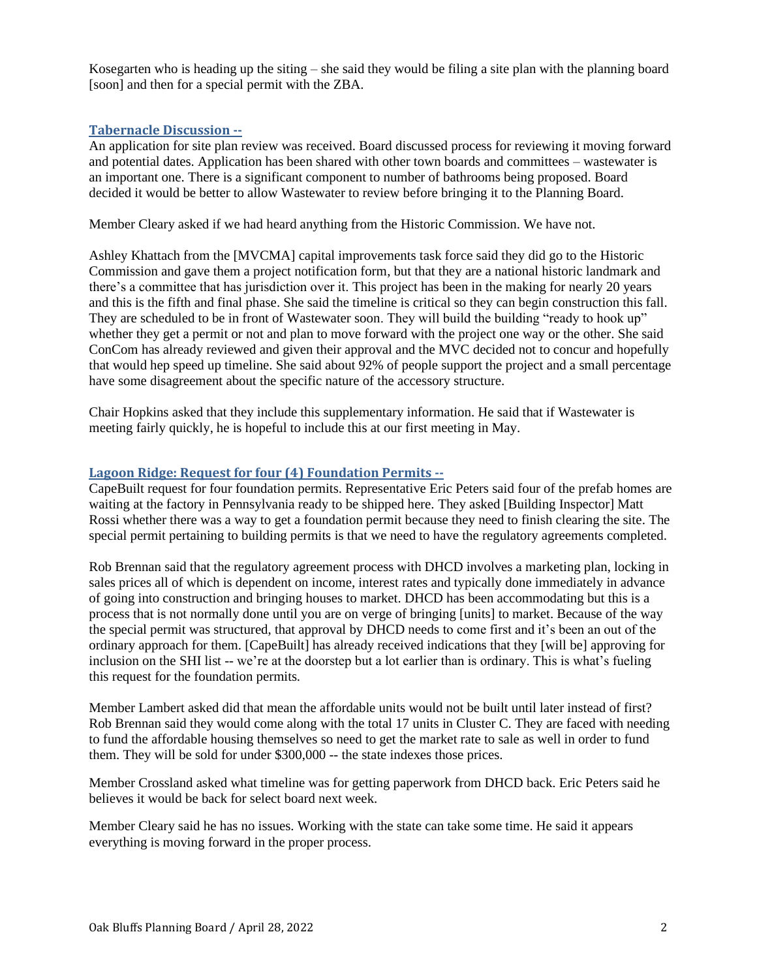Kosegarten who is heading up the siting – she said they would be filing a site plan with the planning board [soon] and then for a special permit with the ZBA.

## **Tabernacle Discussion --**

An application for site plan review was received. Board discussed process for reviewing it moving forward and potential dates. Application has been shared with other town boards and committees – wastewater is an important one. There is a significant component to number of bathrooms being proposed. Board decided it would be better to allow Wastewater to review before bringing it to the Planning Board.

Member Cleary asked if we had heard anything from the Historic Commission. We have not.

Ashley Khattach from the [MVCMA] capital improvements task force said they did go to the Historic Commission and gave them a project notification form, but that they are a national historic landmark and there's a committee that has jurisdiction over it. This project has been in the making for nearly 20 years and this is the fifth and final phase. She said the timeline is critical so they can begin construction this fall. They are scheduled to be in front of Wastewater soon. They will build the building "ready to hook up" whether they get a permit or not and plan to move forward with the project one way or the other. She said ConCom has already reviewed and given their approval and the MVC decided not to concur and hopefully that would hep speed up timeline. She said about 92% of people support the project and a small percentage have some disagreement about the specific nature of the accessory structure.

Chair Hopkins asked that they include this supplementary information. He said that if Wastewater is meeting fairly quickly, he is hopeful to include this at our first meeting in May.

## **Lagoon Ridge: Request for four (4) Foundation Permits --**

CapeBuilt request for four foundation permits. Representative Eric Peters said four of the prefab homes are waiting at the factory in Pennsylvania ready to be shipped here. They asked [Building Inspector] Matt Rossi whether there was a way to get a foundation permit because they need to finish clearing the site. The special permit pertaining to building permits is that we need to have the regulatory agreements completed.

Rob Brennan said that the regulatory agreement process with DHCD involves a marketing plan, locking in sales prices all of which is dependent on income, interest rates and typically done immediately in advance of going into construction and bringing houses to market. DHCD has been accommodating but this is a process that is not normally done until you are on verge of bringing [units] to market. Because of the way the special permit was structured, that approval by DHCD needs to come first and it's been an out of the ordinary approach for them. [CapeBuilt] has already received indications that they [will be] approving for inclusion on the SHI list -- we're at the doorstep but a lot earlier than is ordinary. This is what's fueling this request for the foundation permits*.*

Member Lambert asked did that mean the affordable units would not be built until later instead of first? Rob Brennan said they would come along with the total 17 units in Cluster C. They are faced with needing to fund the affordable housing themselves so need to get the market rate to sale as well in order to fund them. They will be sold for under \$300,000 -- the state indexes those prices.

Member Crossland asked what timeline was for getting paperwork from DHCD back. Eric Peters said he believes it would be back for select board next week.

Member Cleary said he has no issues. Working with the state can take some time. He said it appears everything is moving forward in the proper process.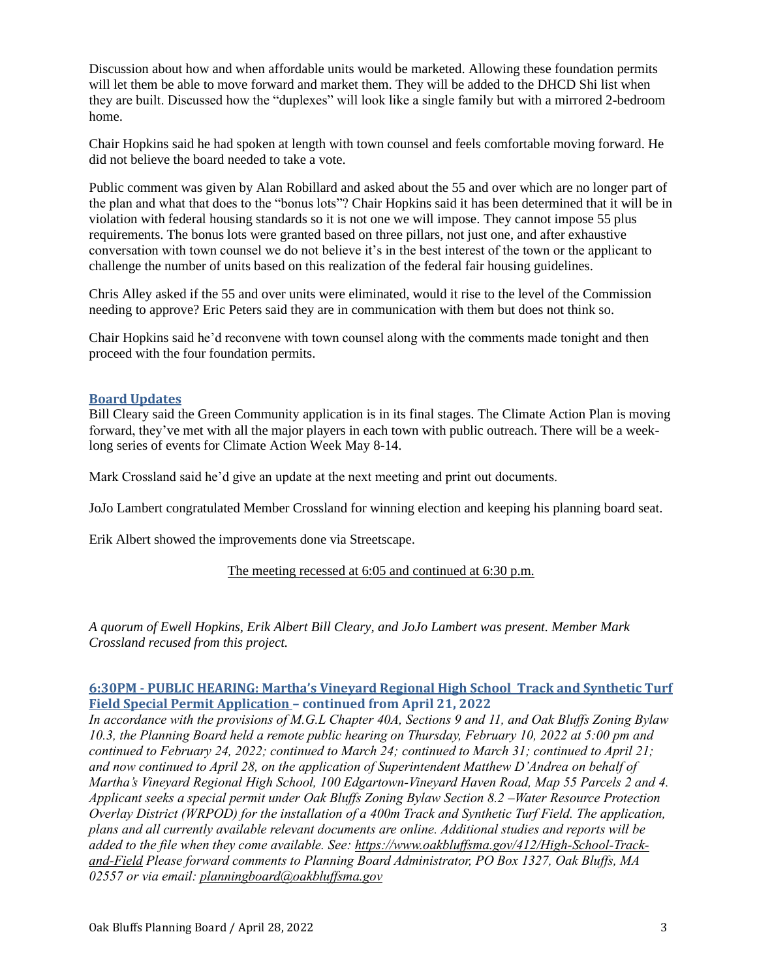Discussion about how and when affordable units would be marketed. Allowing these foundation permits will let them be able to move forward and market them. They will be added to the DHCD Shi list when they are built. Discussed how the "duplexes" will look like a single family but with a mirrored 2-bedroom home.

Chair Hopkins said he had spoken at length with town counsel and feels comfortable moving forward. He did not believe the board needed to take a vote.

Public comment was given by Alan Robillard and asked about the 55 and over which are no longer part of the plan and what that does to the "bonus lots"? Chair Hopkins said it has been determined that it will be in violation with federal housing standards so it is not one we will impose. They cannot impose 55 plus requirements. The bonus lots were granted based on three pillars, not just one, and after exhaustive conversation with town counsel we do not believe it's in the best interest of the town or the applicant to challenge the number of units based on this realization of the federal fair housing guidelines.

Chris Alley asked if the 55 and over units were eliminated, would it rise to the level of the Commission needing to approve? Eric Peters said they are in communication with them but does not think so.

Chair Hopkins said he'd reconvene with town counsel along with the comments made tonight and then proceed with the four foundation permits.

## **Board Updates**

Bill Cleary said the Green Community application is in its final stages. The Climate Action Plan is moving forward, they've met with all the major players in each town with public outreach. There will be a weeklong series of events for Climate Action Week May 8-14.

Mark Crossland said he'd give an update at the next meeting and print out documents.

JoJo Lambert congratulated Member Crossland for winning election and keeping his planning board seat.

Erik Albert showed the improvements done via Streetscape.

The meeting recessed at 6:05 and continued at 6:30 p.m.

*A quorum of Ewell Hopkins, Erik Albert Bill Cleary, and JoJo Lambert was present. Member Mark Crossland recused from this project.*

# **6:30PM - PUBLIC HEARING: Martha's Vineyard Regional High School Track and Synthetic Turf Field Special Permit Application – continued from April 21, 2022**

*In accordance with the provisions of M.G.L Chapter 40A, Sections 9 and 11, and Oak Bluffs Zoning Bylaw 10.3, the Planning Board held a remote public hearing on Thursday, February 10, 2022 at 5:00 pm and continued to February 24, 2022; continued to March 24; continued to March 31; continued to April 21; and now continued to April 28, on the application of Superintendent Matthew D'Andrea on behalf of Martha's Vineyard Regional High School, 100 Edgartown-Vineyard Haven Road, Map 55 Parcels 2 and 4. Applicant seeks a special permit under Oak Bluffs Zoning Bylaw Section 8.2 –Water Resource Protection Overlay District (WRPOD) for the installation of a 400m Track and Synthetic Turf Field. The application, plans and all currently available relevant documents are online. Additional studies and reports will be added to the file when they come available. See: [https://www.oakbluffsma.gov/412/High-School-Track](https://www.oakbluffsma.gov/412/High-School-Track-and-Field)[and-Field](https://www.oakbluffsma.gov/412/High-School-Track-and-Field) Please forward comments to Planning Board Administrator, PO Box 1327, Oak Bluffs, MA 02557 or via email: [planningboard@oakbluffsma.gov](mailto:planningboard@oakbluffsma.gov)*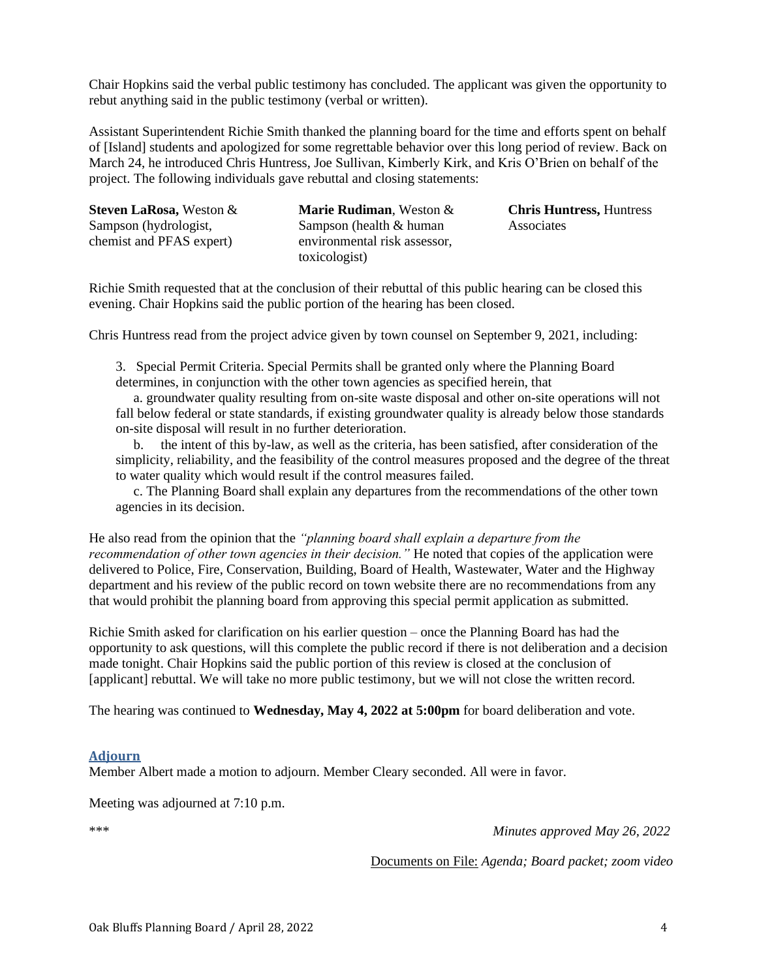Chair Hopkins said the verbal public testimony has concluded. The applicant was given the opportunity to rebut anything said in the public testimony (verbal or written).

Assistant Superintendent Richie Smith thanked the planning board for the time and efforts spent on behalf of [Island] students and apologized for some regrettable behavior over this long period of review. Back on March 24, he introduced Chris Huntress, Joe Sullivan, Kimberly Kirk, and Kris O'Brien on behalf of the project. The following individuals gave rebuttal and closing statements:

| <b>Steven LaRosa, Weston &amp;</b> | Ma             |
|------------------------------------|----------------|
| Sampson (hydrologist,              | San            |
| chemist and PFAS expert)           | env            |
|                                    | $\lambda = -1$ |

**Marie Rudiman**, Weston &  $n$  noson (health  $&$  human ironmental risk assessor. toxicologist)

**Chris Huntress,** Huntress Associates

Richie Smith requested that at the conclusion of their rebuttal of this public hearing can be closed this evening. Chair Hopkins said the public portion of the hearing has been closed.

Chris Huntress read from the project advice given by town counsel on September 9, 2021, including:

3. Special Permit Criteria. Special Permits shall be granted only where the Planning Board determines, in conjunction with the other town agencies as specified herein, that

a. groundwater quality resulting from on-site waste disposal and other on-site operations will not fall below federal or state standards, if existing groundwater quality is already below those standards on-site disposal will result in no further deterioration.

b. the intent of this by-law, as well as the criteria, has been satisfied, after consideration of the simplicity, reliability, and the feasibility of the control measures proposed and the degree of the threat to water quality which would result if the control measures failed.

c. The Planning Board shall explain any departures from the recommendations of the other town agencies in its decision.

He also read from the opinion that the *"planning board shall explain a departure from the recommendation of other town agencies in their decision."* He noted that copies of the application were delivered to Police, Fire, Conservation, Building, Board of Health, Wastewater, Water and the Highway department and his review of the public record on town website there are no recommendations from any that would prohibit the planning board from approving this special permit application as submitted.

Richie Smith asked for clarification on his earlier question – once the Planning Board has had the opportunity to ask questions, will this complete the public record if there is not deliberation and a decision made tonight. Chair Hopkins said the public portion of this review is closed at the conclusion of [applicant] rebuttal. We will take no more public testimony, but we will not close the written record.

The hearing was continued to **Wednesday, May 4, 2022 at 5:00pm** for board deliberation and vote.

## **Adjourn**

Member Albert made a motion to adjourn. Member Cleary seconded. All were in favor.

Meeting was adjourned at 7:10 p.m.

\*\*\* *Minutes approved May 26, 2022*

Documents on File: *Agenda; Board packet; zoom video*